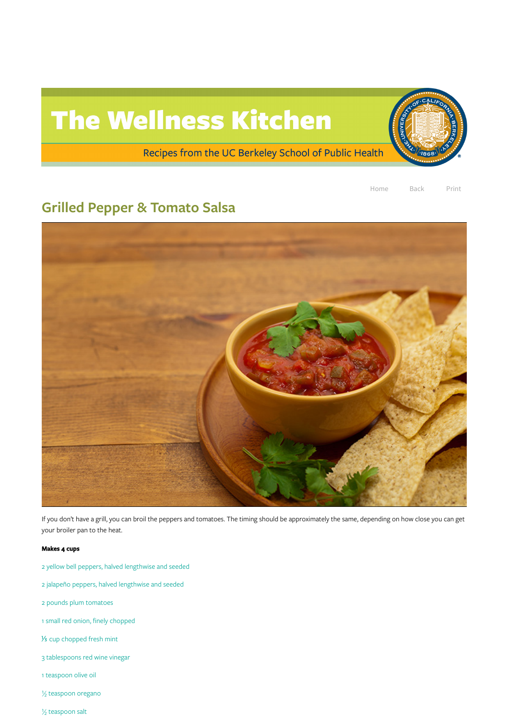

Home Back Print

## Grilled Pepper & Tomato Salsa



If you don't have a grill, you can broil the peppers and tomatoes. The timing should be approximately the same, depending on how close you can get your broiler pan to the heat.

## Makes 4 cups

- yellow bell peppers, halved lengthwise and seeded
- jalapeño peppers, halved lengthwise and seeded
- pounds plum tomatoes
- small red onion, finely chopped
- cup chopped fresh mint
- tablespoons red wine vinegar
- teaspoon olive oil

teaspoon oregano

teaspoon salt